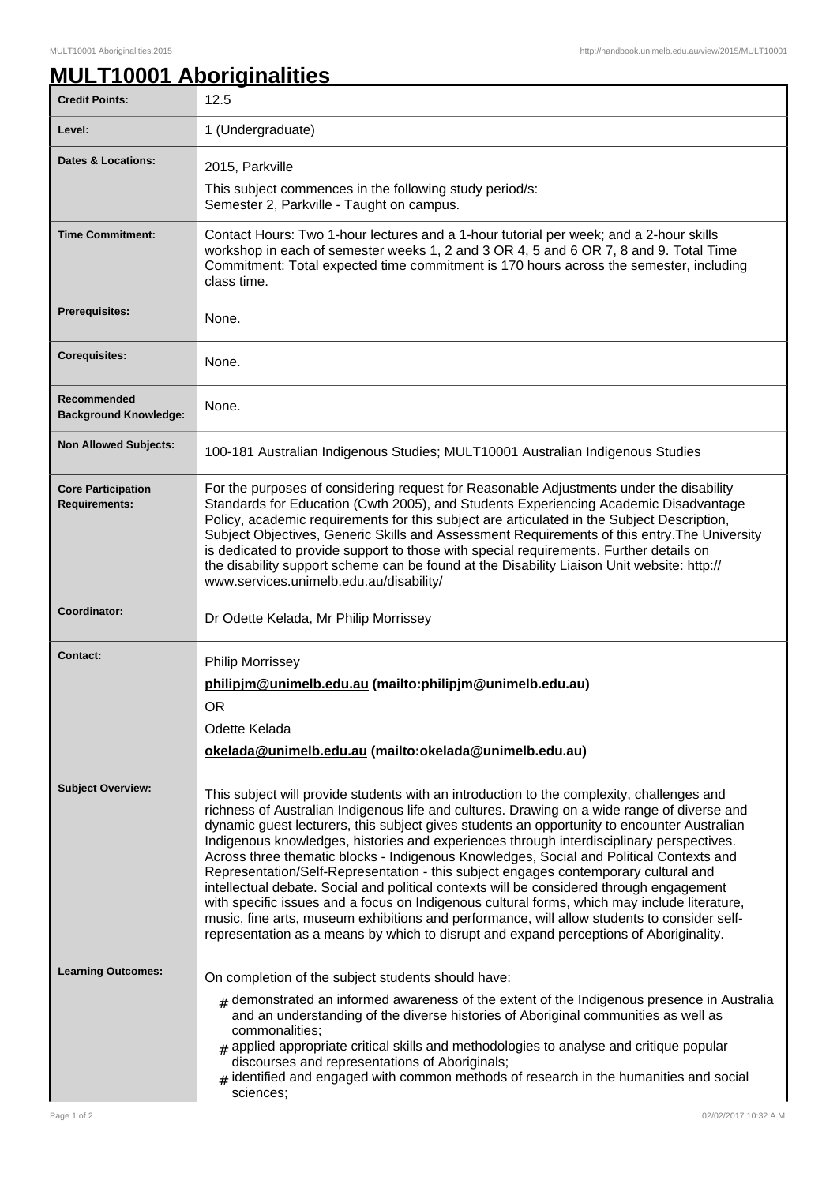## **MULT10001 Aboriginalities**

| <b>Credit Points:</b>                             | 12.5                                                                                                                                                                                                                                                                                                                                                                                                                                                                                                                                                                                                                                                                                                                                                                                                                                                                                                                                                       |
|---------------------------------------------------|------------------------------------------------------------------------------------------------------------------------------------------------------------------------------------------------------------------------------------------------------------------------------------------------------------------------------------------------------------------------------------------------------------------------------------------------------------------------------------------------------------------------------------------------------------------------------------------------------------------------------------------------------------------------------------------------------------------------------------------------------------------------------------------------------------------------------------------------------------------------------------------------------------------------------------------------------------|
| Level:                                            | 1 (Undergraduate)                                                                                                                                                                                                                                                                                                                                                                                                                                                                                                                                                                                                                                                                                                                                                                                                                                                                                                                                          |
| Dates & Locations:                                | 2015, Parkville                                                                                                                                                                                                                                                                                                                                                                                                                                                                                                                                                                                                                                                                                                                                                                                                                                                                                                                                            |
|                                                   | This subject commences in the following study period/s:<br>Semester 2, Parkville - Taught on campus.                                                                                                                                                                                                                                                                                                                                                                                                                                                                                                                                                                                                                                                                                                                                                                                                                                                       |
| <b>Time Commitment:</b>                           | Contact Hours: Two 1-hour lectures and a 1-hour tutorial per week; and a 2-hour skills<br>workshop in each of semester weeks 1, 2 and 3 OR 4, 5 and 6 OR 7, 8 and 9. Total Time<br>Commitment: Total expected time commitment is 170 hours across the semester, including<br>class time.                                                                                                                                                                                                                                                                                                                                                                                                                                                                                                                                                                                                                                                                   |
| <b>Prerequisites:</b>                             | None.                                                                                                                                                                                                                                                                                                                                                                                                                                                                                                                                                                                                                                                                                                                                                                                                                                                                                                                                                      |
| <b>Corequisites:</b>                              | None.                                                                                                                                                                                                                                                                                                                                                                                                                                                                                                                                                                                                                                                                                                                                                                                                                                                                                                                                                      |
| Recommended<br><b>Background Knowledge:</b>       | None.                                                                                                                                                                                                                                                                                                                                                                                                                                                                                                                                                                                                                                                                                                                                                                                                                                                                                                                                                      |
| <b>Non Allowed Subjects:</b>                      | 100-181 Australian Indigenous Studies; MULT10001 Australian Indigenous Studies                                                                                                                                                                                                                                                                                                                                                                                                                                                                                                                                                                                                                                                                                                                                                                                                                                                                             |
| <b>Core Participation</b><br><b>Requirements:</b> | For the purposes of considering request for Reasonable Adjustments under the disability<br>Standards for Education (Cwth 2005), and Students Experiencing Academic Disadvantage<br>Policy, academic requirements for this subject are articulated in the Subject Description,<br>Subject Objectives, Generic Skills and Assessment Requirements of this entry. The University<br>is dedicated to provide support to those with special requirements. Further details on<br>the disability support scheme can be found at the Disability Liaison Unit website: http://<br>www.services.unimelb.edu.au/disability/                                                                                                                                                                                                                                                                                                                                           |
| Coordinator:                                      | Dr Odette Kelada, Mr Philip Morrissey                                                                                                                                                                                                                                                                                                                                                                                                                                                                                                                                                                                                                                                                                                                                                                                                                                                                                                                      |
| <b>Contact:</b>                                   | <b>Philip Morrissey</b><br>philipjm@unimelb.edu.au (mailto:philipjm@unimelb.edu.au)<br><b>OR</b><br>Odette Kelada<br>okelada@unimelb.edu.au (mailto:okelada@unimelb.edu.au)                                                                                                                                                                                                                                                                                                                                                                                                                                                                                                                                                                                                                                                                                                                                                                                |
| <b>Subject Overview:</b>                          | This subject will provide students with an introduction to the complexity, challenges and<br>richness of Australian Indigenous life and cultures. Drawing on a wide range of diverse and<br>dynamic guest lecturers, this subject gives students an opportunity to encounter Australian<br>Indigenous knowledges, histories and experiences through interdisciplinary perspectives.<br>Across three thematic blocks - Indigenous Knowledges, Social and Political Contexts and<br>Representation/Self-Representation - this subject engages contemporary cultural and<br>intellectual debate. Social and political contexts will be considered through engagement<br>with specific issues and a focus on Indigenous cultural forms, which may include literature,<br>music, fine arts, museum exhibitions and performance, will allow students to consider self-<br>representation as a means by which to disrupt and expand perceptions of Aboriginality. |
| <b>Learning Outcomes:</b>                         | On completion of the subject students should have:<br>$#$ demonstrated an informed awareness of the extent of the Indigenous presence in Australia                                                                                                                                                                                                                                                                                                                                                                                                                                                                                                                                                                                                                                                                                                                                                                                                         |
|                                                   | and an understanding of the diverse histories of Aboriginal communities as well as<br>commonalities;<br>$#$ applied appropriate critical skills and methodologies to analyse and critique popular<br>discourses and representations of Aboriginals;<br>identified and engaged with common methods of research in the humanities and social<br>#<br>sciences;                                                                                                                                                                                                                                                                                                                                                                                                                                                                                                                                                                                               |